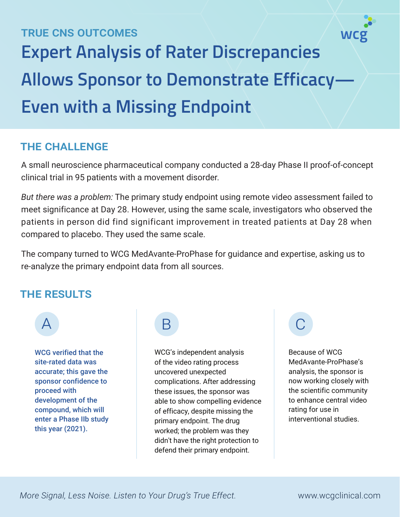# TRUE CNS OUTCOMES **Expert Analysis of Rater Discrepancies Allows Sponsor to Demonstrate Efficacy— Even with a Missing Endpoint**

## THE CHALLENGE

A small neuroscience pharmaceutical company conducted a 28-day Phase II proof-of-concept clinical trial in 95 patients with a movement disorder.

*But there was a problem:* The primary study endpoint using remote video assessment failed to meet significance at Day 28. However, using the same scale, investigators who observed the patients in person did find significant improvement in treated patients at Day 28 when compared to placebo. They used the same scale.

The company turned to WCG MedAvante-ProPhase for guidance and expertise, asking us to re-analyze the primary endpoint data from all sources.

### THE RESULTS



WCG verified that the site-rated data was accurate; this gave the sponsor confidence to proceed with development of the compound, which will enter a Phase IIb study this year (2021).

WCG's independent analysis of the video rating process uncovered unexpected complications. After addressing these issues, the sponsor was able to show compelling evidence of efficacy, despite missing the primary endpoint. The drug worked; the problem was they didn't have the right protection to defend their primary endpoint.

Because of WCG MedAvante-ProPhase's analysis, the sponsor is now working closely with the scientific community to enhance central video rating for use in interventional studies.